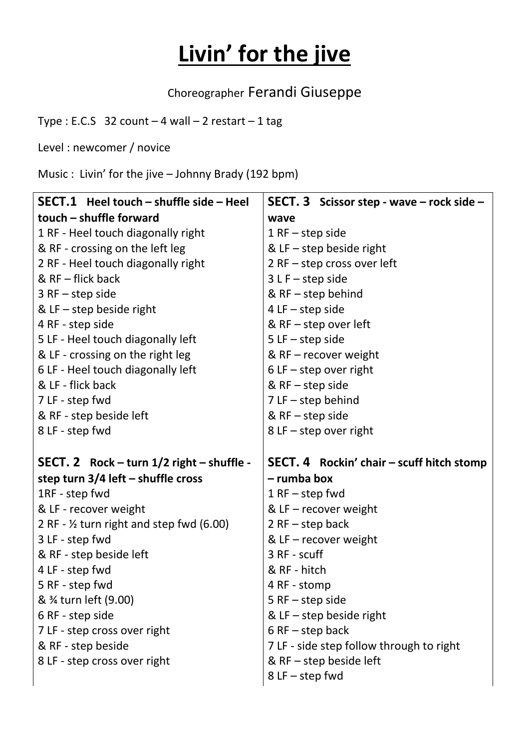## **Livin' for the jive**

Choreographer Ferandi Giuseppe

Type : E.C.S 32 count  $-4$  wall  $-2$  restart  $-1$  tag

Level : newcomer / novice

Music : Livin' for the jive – Johnny Brady (192 bpm)

| $SECT.1$ Heel touch – shuffle side – Heel           | <b>SECT. 3</b> Scissor step - wave $-$ rock side $-$ |
|-----------------------------------------------------|------------------------------------------------------|
| touch - shuffle forward                             | wave                                                 |
| 1 RF - Heel touch diagonally right                  | $1$ RF – step side                                   |
| & RF - crossing on the left leg                     | & LF - step beside right                             |
| 2 RF - Heel touch diagonally right                  | $2$ RF – step cross over left                        |
| & RF - flick back                                   | $3 L F - step side$                                  |
| $3$ RF - step side                                  | & $RF - step$ behind                                 |
| & LF $-$ step beside right                          | $4$ LF $-$ step side                                 |
| 4 RF - step side                                    | & $RF - step$ over left                              |
| 5 LF - Heel touch diagonally left                   | $5$ LF $-$ step side                                 |
| & LF - crossing on the right leg                    | & RF - recover weight                                |
| 6 LF - Heel touch diagonally left                   | $6$ LF – step over right                             |
| & LF - flick back                                   | & $RF - step side$                                   |
| 7 LF - step fwd                                     | $7$ LF $-$ step behind                               |
| & RF - step beside left                             | & $RF - step side$                                   |
| 8 LF - step fwd                                     | $8$ LF – step over right                             |
|                                                     |                                                      |
| SECT. 2 Rock $-$ turn $1/2$ right $-$ shuffle -     | SECT. 4 Rockin' chair - scuff hitch stomp            |
| step turn $3/4$ left – shuffle cross                | - rumba box                                          |
| 1RF - step fwd                                      | $1$ RF – step fwd                                    |
| & LF - recover weight                               | & LF $-$ recover weight                              |
| 2 RF - $\frac{1}{2}$ turn right and step fwd (6.00) | $2$ RF - step back                                   |
| 3 LF - step fwd                                     | & LF $-$ recover weight                              |
| & RF - step beside left                             | 3 RF - scuff                                         |
| 4 LF - step fwd                                     | & RF - hitch                                         |
| 5 RF - step fwd                                     | 4 RF - stomp                                         |
| & 3/4 turn left (9.00)                              | $5$ RF $-$ step side                                 |
| 6 RF - step side                                    | & LF $-$ step beside right                           |
| 7 LF - step cross over right                        | $6$ RF $-$ step back                                 |
| & RF - step beside                                  | 7 LF - side step follow through to right             |
| 8 LF - step cross over right                        | & $RF$ – step beside left                            |
|                                                     | $8$ LF $-$ step fwd                                  |